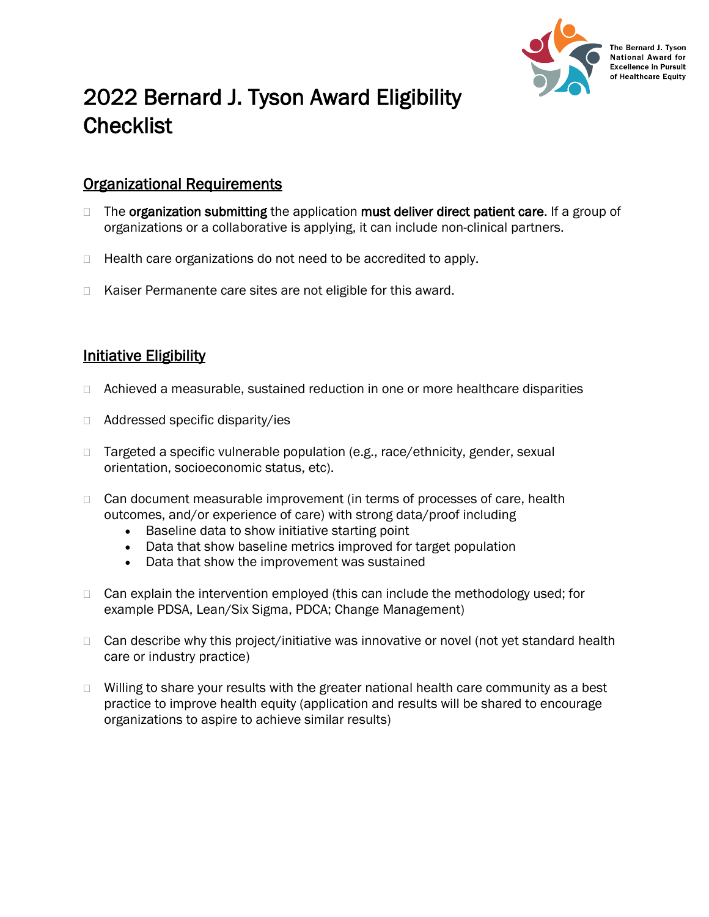

The Bernard J. Tyson **National Award for Excellence in Pursuit** of Healthcare Equity

# 2022 Bernard J. Tyson Award Eligibility **Checklist**

### Organizational Requirements

- $\Box$  The organization submitting the application must deliver direct patient care. If a group of organizations or a collaborative is applying, it can include non-clinical partners.
- $\Box$  Health care organizations do not need to be accredited to apply.
- □ Kaiser Permanente care sites are not eligible for this award.

## **Initiative Eligibility**

- $\Box$  Achieved a measurable, sustained reduction in one or more healthcare disparities
- □ Addressed specific disparity/ies
- □ Targeted a specific vulnerable population (e.g., race/ethnicity, gender, sexual orientation, socioeconomic status, etc).
- $\Box$  Can document measurable improvement (in terms of processes of care, health outcomes, and/or experience of care) with strong data/proof including
	- Baseline data to show initiative starting point
	- Data that show baseline metrics improved for target population
	- Data that show the improvement was sustained
- $\Box$  Can explain the intervention employed (this can include the methodology used; for example PDSA, Lean/Six Sigma, PDCA; Change Management)
- $\Box$  Can describe why this project/initiative was innovative or novel (not yet standard health care or industry practice)
- $\Box$  Willing to share your results with the greater national health care community as a best practice to improve health equity (application and results will be shared to encourage organizations to aspire to achieve similar results)